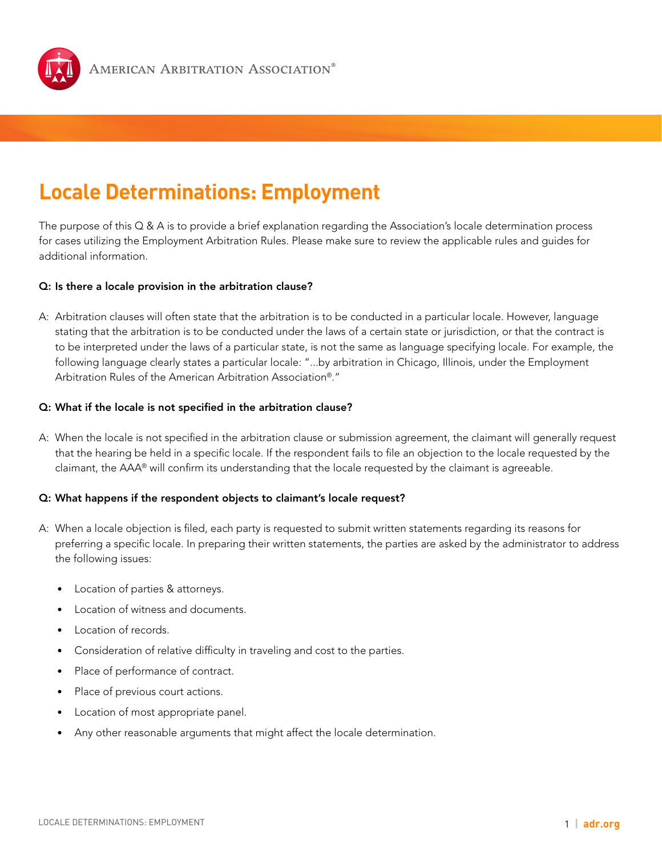

# **Locale Determinations: Employment**

The purpose of this  $Q \& A$  is to provide a brief explanation regarding the Association's locale determination process for cases utilizing the Employment Arbitration Rules. Please make sure to review the applicable rules and guides for additional information.

# Q: Is there a locale provision in the arbitration clause?

A: Arbitration clauses will often state that the arbitration is to be conducted in a particular locale. However, language stating that the arbitration is to be conducted under the laws of a certain state or jurisdiction, or that the contract is to be interpreted under the laws of a particular state, is not the same as language specifying locale. For example, the following language clearly states a particular locale: "...by arbitration in Chicago, Illinois, under the Employment Arbitration Rules of the American Arbitration Association®."

# Q: What if the locale is not specified in the arbitration clause?

A: When the locale is not specified in the arbitration clause or submission agreement, the claimant will generally request that the hearing be held in a specific locale. If the respondent fails to file an objection to the locale requested by the claimant, the AAA® will confirm its understanding that the locale requested by the claimant is agreeable.

## Q: What happens if the respondent objects to claimant's locale request?

- A: When a locale objection is filed, each party is requested to submit written statements regarding its reasons for preferring a specific locale. In preparing their written statements, the parties are asked by the administrator to address the following issues:
	- Location of parties & attorneys.
	- Location of witness and documents.
	- Location of records.
	- Consideration of relative difficulty in traveling and cost to the parties.
	- Place of performance of contract.
	- Place of previous court actions.
	- Location of most appropriate panel.
	- Any other reasonable arguments that might affect the locale determination.